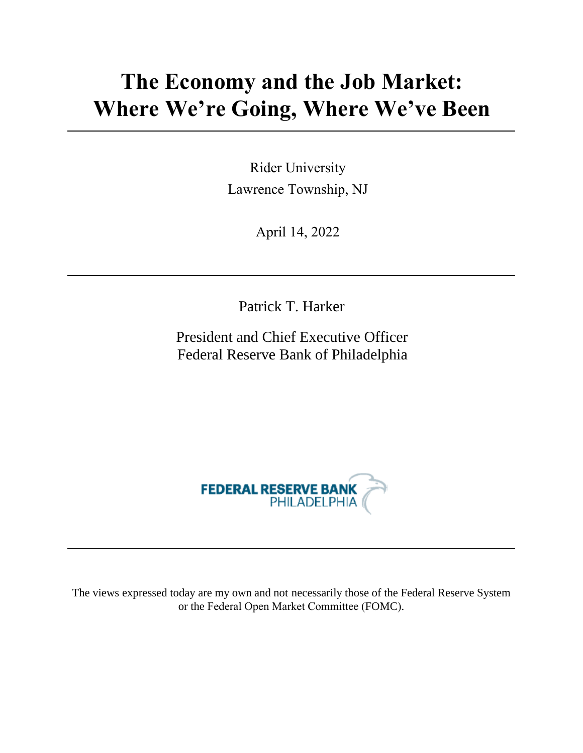# **The Economy and the Job Market: Where We're Going, Where We've Been**

Rider University Lawrence Township, NJ

April 14, 2022

Patrick T. Harker

President and Chief Executive Officer Federal Reserve Bank of Philadelphia



The views expressed today are my own and not necessarily those of the Federal Reserve System or the Federal Open Market Committee (FOMC).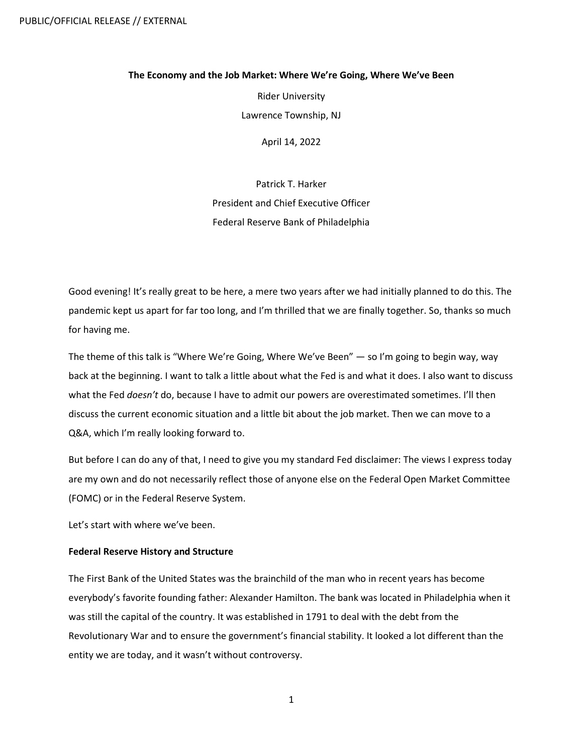### **The Economy and the Job Market: Where We're Going, Where We've Been**

Rider University Lawrence Township, NJ

April 14, 2022

Patrick T. Harker President and Chief Executive Officer Federal Reserve Bank of Philadelphia

Good evening! It's really great to be here, a mere two years after we had initially planned to do this. The pandemic kept us apart for far too long, and I'm thrilled that we are finally together. So, thanks so much for having me.

The theme of this talk is "Where We're Going, Where We've Been" — so I'm going to begin way, way back at the beginning. I want to talk a little about what the Fed is and what it does. I also want to discuss what the Fed *doesn't* do, because I have to admit our powers are overestimated sometimes. I'll then discuss the current economic situation and a little bit about the job market. Then we can move to a Q&A, which I'm really looking forward to.

But before I can do any of that, I need to give you my standard Fed disclaimer: The views I express today are my own and do not necessarily reflect those of anyone else on the Federal Open Market Committee (FOMC) or in the Federal Reserve System.

Let's start with where we've been.

## **Federal Reserve History and Structure**

The First Bank of the United States was the brainchild of the man who in recent years has become everybody's favorite founding father: Alexander Hamilton. The bank was located in Philadelphia when it was still the capital of the country. It was established in 1791 to deal with the debt from the Revolutionary War and to ensure the government's financial stability. It looked a lot different than the entity we are today, and it wasn't without controversy.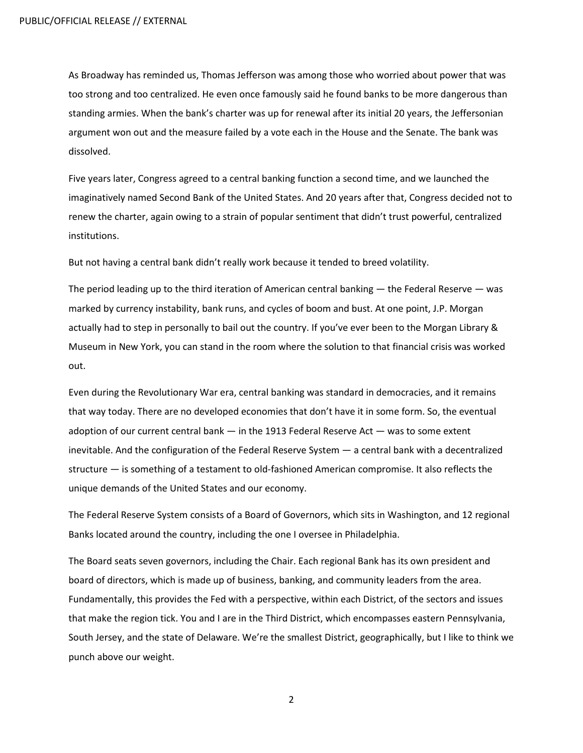As Broadway has reminded us, Thomas Jefferson was among those who worried about power that was too strong and too centralized. He even once famously said he found banks to be more dangerous than standing armies. When the bank's charter was up for renewal after its initial 20 years, the Jeffersonian argument won out and the measure failed by a vote each in the House and the Senate. The bank was dissolved.

Five years later, Congress agreed to a central banking function a second time, and we launched the imaginatively named Second Bank of the United States. And 20 years after that, Congress decided not to renew the charter, again owing to a strain of popular sentiment that didn't trust powerful, centralized institutions.

But not having a central bank didn't really work because it tended to breed volatility.

The period leading up to the third iteration of American central banking — the Federal Reserve — was marked by currency instability, bank runs, and cycles of boom and bust. At one point, J.P. Morgan actually had to step in personally to bail out the country. If you've ever been to the Morgan Library & Museum in New York, you can stand in the room where the solution to that financial crisis was worked out.

Even during the Revolutionary War era, central banking was standard in democracies, and it remains that way today. There are no developed economies that don't have it in some form. So, the eventual adoption of our current central bank — in the 1913 Federal Reserve Act — was to some extent inevitable. And the configuration of the Federal Reserve System — a central bank with a decentralized structure — is something of a testament to old-fashioned American compromise. It also reflects the unique demands of the United States and our economy.

The Federal Reserve System consists of a Board of Governors, which sits in Washington, and 12 regional Banks located around the country, including the one I oversee in Philadelphia.

The Board seats seven governors, including the Chair. Each regional Bank has its own president and board of directors, which is made up of business, banking, and community leaders from the area. Fundamentally, this provides the Fed with a perspective, within each District, of the sectors and issues that make the region tick. You and I are in the Third District, which encompasses eastern Pennsylvania, South Jersey, and the state of Delaware. We're the smallest District, geographically, but I like to think we punch above our weight.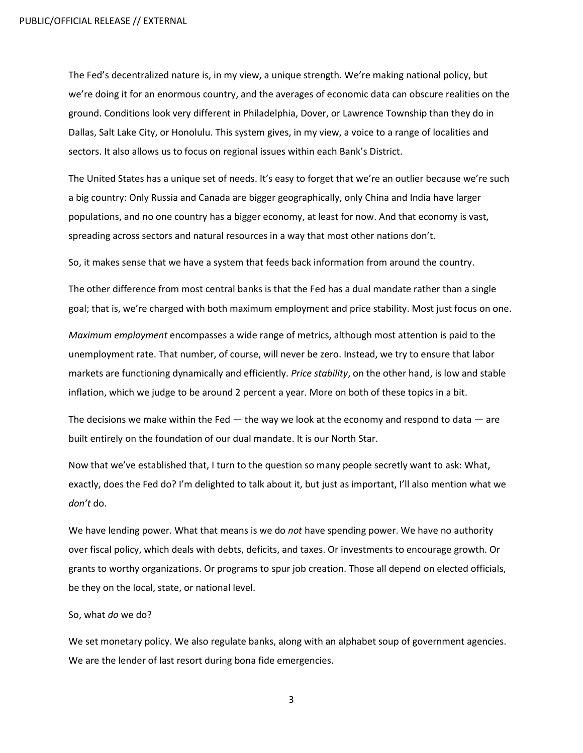The Fed's decentralized nature is, in my view, a unique strength. We're making national policy, but we're doing it for an enormous country, and the averages of economic data can obscure realities on the ground. Conditions look very different in Philadelphia, Dover, or Lawrence Township than they do in Dallas, Salt Lake City, or Honolulu. This system gives, in my view, a voice to a range of localities and sectors. It also allows us to focus on regional issues within each Bank's District.

The United States has a unique set of needs. It's easy to forget that we're an outlier because we're such a big country: Only Russia and Canada are bigger geographically, only China and India have larger populations, and no one country has a bigger economy, at least for now. And that economy is vast, spreading across sectors and natural resources in a way that most other nations don't.

So, it makes sense that we have a system that feeds back information from around the country.

The other difference from most central banks is that the Fed has a dual mandate rather than a single goal; that is, we're charged with both maximum employment and price stability. Most just focus on one.

*Maximum employment* encompasses a wide range of metrics, although most attention is paid to the unemployment rate. That number, of course, will never be zero. Instead, we try to ensure that labor markets are functioning dynamically and efficiently. *Price stability*, on the other hand, is low and stable inflation, which we judge to be around 2 percent a year. More on both of these topics in a bit.

The decisions we make within the Fed  $-$  the way we look at the economy and respond to data  $-$  are built entirely on the foundation of our dual mandate. It is our North Star.

Now that we've established that, I turn to the question so many people secretly want to ask: What, exactly, does the Fed do? I'm delighted to talk about it, but just as important, I'll also mention what we *don't* do.

We have lending power. What that means is we do *not* have spending power. We have no authority over fiscal policy, which deals with debts, deficits, and taxes. Or investments to encourage growth. Or grants to worthy organizations. Or programs to spur job creation. Those all depend on elected officials, be they on the local, state, or national level.

#### So, what *do* we do?

We set monetary policy. We also regulate banks, along with an alphabet soup of government agencies. We are the lender of last resort during bona fide emergencies.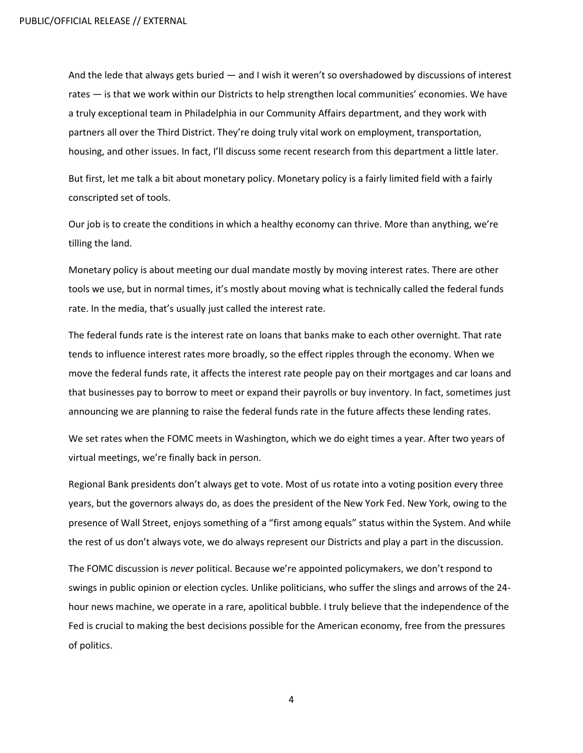And the lede that always gets buried — and I wish it weren't so overshadowed by discussions of interest rates — is that we work within our Districts to help strengthen local communities' economies. We have a truly exceptional team in Philadelphia in our Community Affairs department, and they work with partners all over the Third District. They're doing truly vital work on employment, transportation, housing, and other issues. In fact, I'll discuss some recent research from this department a little later.

But first, let me talk a bit about monetary policy. Monetary policy is a fairly limited field with a fairly conscripted set of tools.

Our job is to create the conditions in which a healthy economy can thrive. More than anything, we're tilling the land.

Monetary policy is about meeting our dual mandate mostly by moving interest rates. There are other tools we use, but in normal times, it's mostly about moving what is technically called the federal funds rate. In the media, that's usually just called the interest rate.

The federal funds rate is the interest rate on loans that banks make to each other overnight. That rate tends to influence interest rates more broadly, so the effect ripples through the economy. When we move the federal funds rate, it affects the interest rate people pay on their mortgages and car loans and that businesses pay to borrow to meet or expand their payrolls or buy inventory. In fact, sometimes just announcing we are planning to raise the federal funds rate in the future affects these lending rates.

We set rates when the FOMC meets in Washington, which we do eight times a year. After two years of virtual meetings, we're finally back in person.

Regional Bank presidents don't always get to vote. Most of us rotate into a voting position every three years, but the governors always do, as does the president of the New York Fed. New York, owing to the presence of Wall Street, enjoys something of a "first among equals" status within the System. And while the rest of us don't always vote, we do always represent our Districts and play a part in the discussion.

The FOMC discussion is *never* political. Because we're appointed policymakers, we don't respond to swings in public opinion or election cycles. Unlike politicians, who suffer the slings and arrows of the 24 hour news machine, we operate in a rare, apolitical bubble. I truly believe that the independence of the Fed is crucial to making the best decisions possible for the American economy, free from the pressures of politics.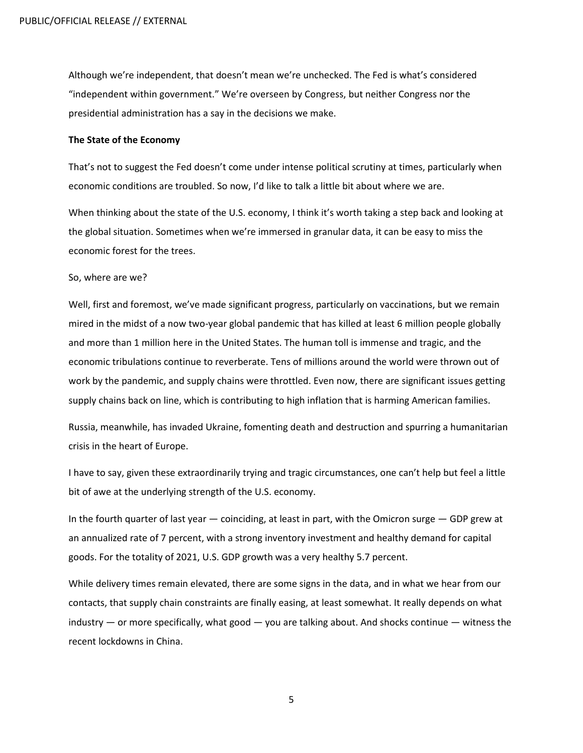Although we're independent, that doesn't mean we're unchecked. The Fed is what's considered "independent within government." We're overseen by Congress, but neither Congress nor the presidential administration has a say in the decisions we make.

### **The State of the Economy**

That's not to suggest the Fed doesn't come under intense political scrutiny at times, particularly when economic conditions are troubled. So now, I'd like to talk a little bit about where we are.

When thinking about the state of the U.S. economy, I think it's worth taking a step back and looking at the global situation. Sometimes when we're immersed in granular data, it can be easy to miss the economic forest for the trees.

#### So, where are we?

Well, first and foremost, we've made significant progress, particularly on vaccinations, but we remain mired in the midst of a now two-year global pandemic that has killed at least 6 million people globally and more than 1 million here in the United States. The human toll is immense and tragic, and the economic tribulations continue to reverberate. Tens of millions around the world were thrown out of work by the pandemic, and supply chains were throttled. Even now, there are significant issues getting supply chains back on line, which is contributing to high inflation that is harming American families.

Russia, meanwhile, has invaded Ukraine, fomenting death and destruction and spurring a humanitarian crisis in the heart of Europe.

I have to say, given these extraordinarily trying and tragic circumstances, one can't help but feel a little bit of awe at the underlying strength of the U.S. economy.

In the fourth quarter of last year  $-$  coinciding, at least in part, with the Omicron surge  $-$  GDP grew at an annualized rate of 7 percent, with a strong inventory investment and healthy demand for capital goods. For the totality of 2021, U.S. GDP growth was a very healthy 5.7 percent.

While delivery times remain elevated, there are some signs in the data, and in what we hear from our contacts, that supply chain constraints are finally easing, at least somewhat. It really depends on what industry — or more specifically, what good — you are talking about. And shocks continue — witness the recent lockdowns in China.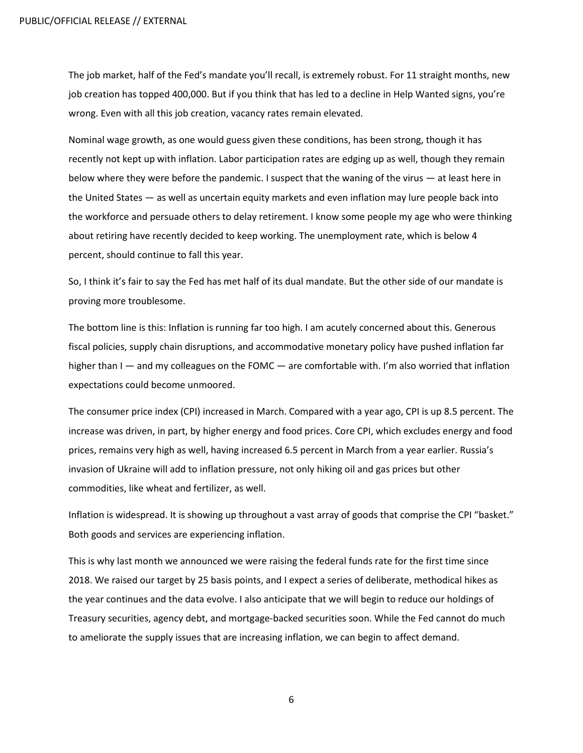The job market, half of the Fed's mandate you'll recall, is extremely robust. For 11 straight months, new job creation has topped 400,000. But if you think that has led to a decline in Help Wanted signs, you're wrong. Even with all this job creation, vacancy rates remain elevated.

Nominal wage growth, as one would guess given these conditions, has been strong, though it has recently not kept up with inflation. Labor participation rates are edging up as well, though they remain below where they were before the pandemic. I suspect that the waning of the virus — at least here in the United States — as well as uncertain equity markets and even inflation may lure people back into the workforce and persuade others to delay retirement. I know some people my age who were thinking about retiring have recently decided to keep working. The unemployment rate, which is below 4 percent, should continue to fall this year.

So, I think it's fair to say the Fed has met half of its dual mandate. But the other side of our mandate is proving more troublesome.

The bottom line is this: Inflation is running far too high. I am acutely concerned about this. Generous fiscal policies, supply chain disruptions, and accommodative monetary policy have pushed inflation far higher than I — and my colleagues on the FOMC — are comfortable with. I'm also worried that inflation expectations could become unmoored.

The consumer price index (CPI) increased in March. Compared with a year ago, CPI is up 8.5 percent. The increase was driven, in part, by higher energy and food prices. Core CPI, which excludes energy and food prices, remains very high as well, having increased 6.5 percent in March from a year earlier. Russia's invasion of Ukraine will add to inflation pressure, not only hiking oil and gas prices but other commodities, like wheat and fertilizer, as well.

Inflation is widespread. It is showing up throughout a vast array of goods that comprise the CPI "basket." Both goods and services are experiencing inflation.

This is why last month we announced we were raising the federal funds rate for the first time since 2018. We raised our target by 25 basis points, and I expect a series of deliberate, methodical hikes as the year continues and the data evolve. I also anticipate that we will begin to reduce our holdings of Treasury securities, agency debt, and mortgage-backed securities soon. While the Fed cannot do much to ameliorate the supply issues that are increasing inflation, we can begin to affect demand.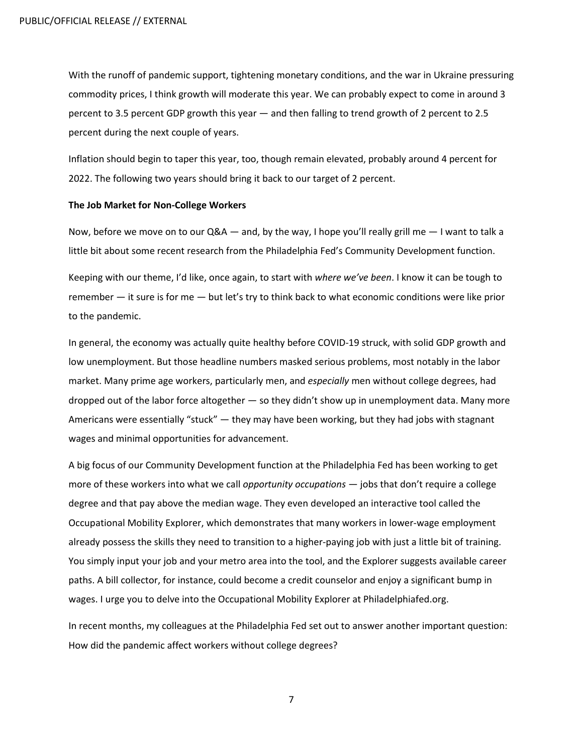With the runoff of pandemic support, tightening monetary conditions, and the war in Ukraine pressuring commodity prices, I think growth will moderate this year. We can probably expect to come in around 3 percent to 3.5 percent GDP growth this year — and then falling to trend growth of 2 percent to 2.5 percent during the next couple of years.

Inflation should begin to taper this year, too, though remain elevated, probably around 4 percent for 2022. The following two years should bring it back to our target of 2 percent.

#### **The Job Market for Non-College Workers**

Now, before we move on to our  $Q&A$  — and, by the way, I hope you'll really grill me  $-$  I want to talk a little bit about some recent research from the Philadelphia Fed's Community Development function.

Keeping with our theme, I'd like, once again, to start with *where we've been*. I know it can be tough to remember — it sure is for me — but let's try to think back to what economic conditions were like prior to the pandemic.

In general, the economy was actually quite healthy before COVID-19 struck, with solid GDP growth and low unemployment. But those headline numbers masked serious problems, most notably in the labor market. Many prime age workers, particularly men, and *especially* men without college degrees, had dropped out of the labor force altogether — so they didn't show up in unemployment data. Many more Americans were essentially "stuck" — they may have been working, but they had jobs with stagnant wages and minimal opportunities for advancement.

A big focus of our Community Development function at the Philadelphia Fed has been working to get more of these workers into what we call *opportunity occupations* — jobs that don't require a college degree and that pay above the median wage. They even developed an interactive tool called the Occupational Mobility Explorer, which demonstrates that many workers in lower-wage employment already possess the skills they need to transition to a higher-paying job with just a little bit of training. You simply input your job and your metro area into the tool, and the Explorer suggests available career paths. A bill collector, for instance, could become a credit counselor and enjoy a significant bump in wages. I urge you to delve into the Occupational Mobility Explorer at Philadelphiafed.org.

In recent months, my colleagues at the Philadelphia Fed set out to answer another important question: How did the pandemic affect workers without college degrees?